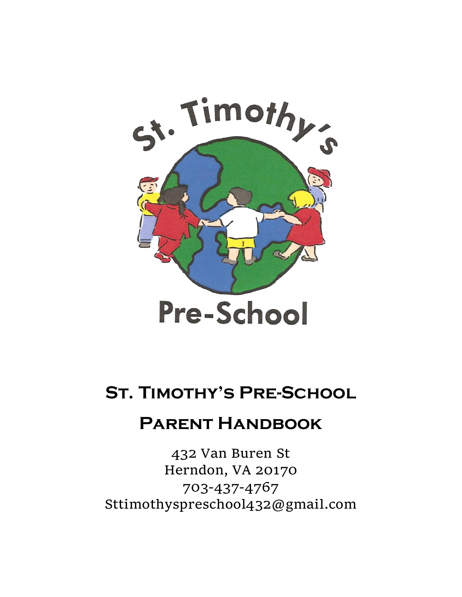

# **St. Timothy's Pre-School**

## **Parent Handbook**

432 Van Buren St Herndon, VA 20170 703-437-4767 Sttimothyspreschool432@gmail.com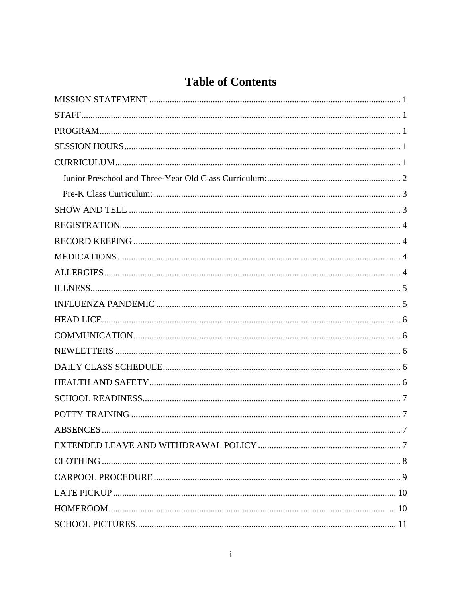## **Table of Contents**

| <b>ABSENCES</b><br>7 |
|----------------------|
|                      |
|                      |
|                      |
|                      |
|                      |
|                      |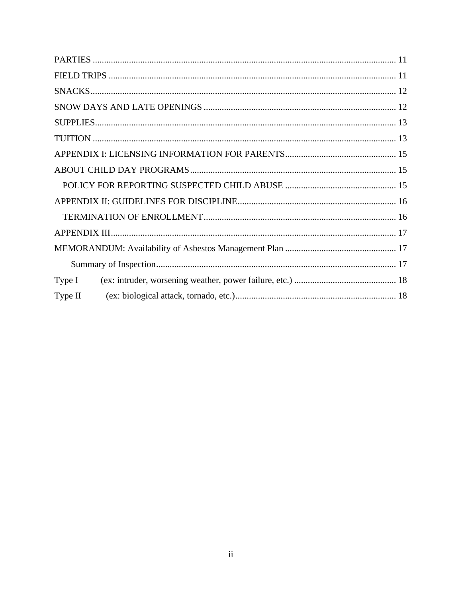| Type I  |  |  |  |
|---------|--|--|--|
| Type II |  |  |  |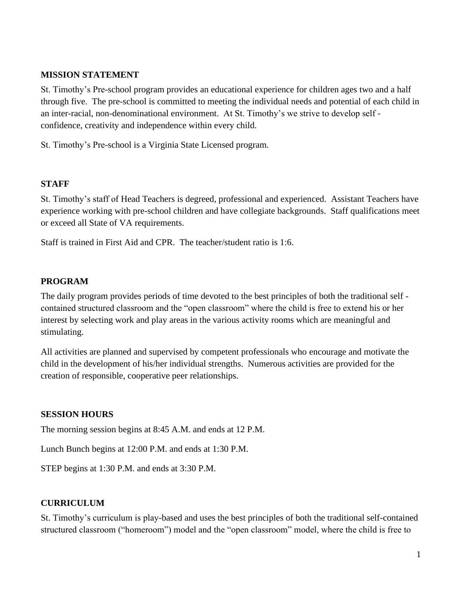#### <span id="page-3-0"></span>**MISSION STATEMENT**

St. Timothy's Pre-school program provides an educational experience for children ages two and a half through five. The pre-school is committed to meeting the individual needs and potential of each child in an inter-racial, non-denominational environment. At St. Timothy's we strive to develop self confidence, creativity and independence within every child.

St. Timothy's Pre-school is a Virginia State Licensed program.

#### <span id="page-3-1"></span>**STAFF**

St. Timothy's staff of Head Teachers is degreed, professional and experienced. Assistant Teachers have experience working with pre-school children and have collegiate backgrounds. Staff qualifications meet or exceed all State of VA requirements.

Staff is trained in First Aid and CPR. The teacher/student ratio is 1:6.

#### <span id="page-3-2"></span>**PROGRAM**

The daily program provides periods of time devoted to the best principles of both the traditional self contained structured classroom and the "open classroom" where the child is free to extend his or her interest by selecting work and play areas in the various activity rooms which are meaningful and stimulating.

All activities are planned and supervised by competent professionals who encourage and motivate the child in the development of his/her individual strengths. Numerous activities are provided for the creation of responsible, cooperative peer relationships.

#### <span id="page-3-3"></span>**SESSION HOURS**

The morning session begins at 8:45 A.M. and ends at 12 P.M.

Lunch Bunch begins at 12:00 P.M. and ends at 1:30 P.M.

STEP begins at 1:30 P.M. and ends at 3:30 P.M.

#### <span id="page-3-4"></span>**CURRICULUM**

St. Timothy's curriculum is play-based and uses the best principles of both the traditional self-contained structured classroom ("homeroom") model and the "open classroom" model, where the child is free to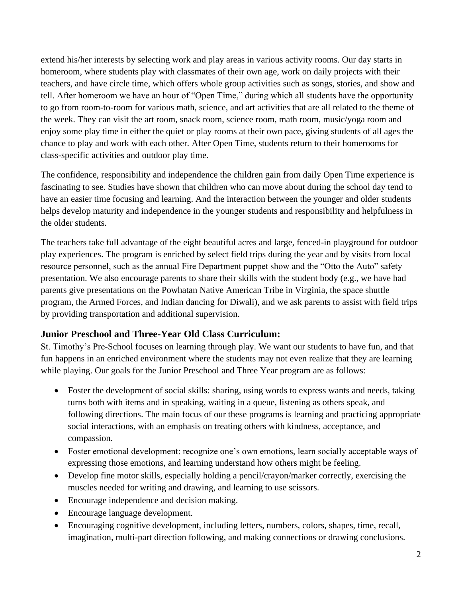extend his/her interests by selecting work and play areas in various activity rooms. Our day starts in homeroom, where students play with classmates of their own age, work on daily projects with their teachers, and have circle time, which offers whole group activities such as songs, stories, and show and tell. After homeroom we have an hour of "Open Time," during which all students have the opportunity to go from room-to-room for various math, science, and art activities that are all related to the theme of the week. They can visit the art room, snack room, science room, math room, music/yoga room and enjoy some play time in either the quiet or play rooms at their own pace, giving students of all ages the chance to play and work with each other. After Open Time, students return to their homerooms for class-specific activities and outdoor play time.

The confidence, responsibility and independence the children gain from daily Open Time experience is fascinating to see. Studies have shown that children who can move about during the school day tend to have an easier time focusing and learning. And the interaction between the younger and older students helps develop maturity and independence in the younger students and responsibility and helpfulness in the older students.

The teachers take full advantage of the eight beautiful acres and large, fenced-in playground for outdoor play experiences. The program is enriched by select field trips during the year and by visits from local resource personnel, such as the annual Fire Department puppet show and the "Otto the Auto" safety presentation. We also encourage parents to share their skills with the student body (e.g., we have had parents give presentations on the Powhatan Native American Tribe in Virginia, the space shuttle program, the Armed Forces, and Indian dancing for Diwali), and we ask parents to assist with field trips by providing transportation and additional supervision.

## <span id="page-4-0"></span>**Junior Preschool and Three-Year Old Class Curriculum:**

St. Timothy's Pre-School focuses on learning through play. We want our students to have fun, and that fun happens in an enriched environment where the students may not even realize that they are learning while playing. Our goals for the Junior Preschool and Three Year program are as follows:

- Foster the development of social skills: sharing, using words to express wants and needs, taking turns both with items and in speaking, waiting in a queue, listening as others speak, and following directions. The main focus of our these programs is learning and practicing appropriate social interactions, with an emphasis on treating others with kindness, acceptance, and compassion.
- Foster emotional development: recognize one's own emotions, learn socially acceptable ways of expressing those emotions, and learning understand how others might be feeling.
- Develop fine motor skills, especially holding a pencil/crayon/marker correctly, exercising the muscles needed for writing and drawing, and learning to use scissors.
- Encourage independence and decision making.
- Encourage language development.
- Encouraging cognitive development, including letters, numbers, colors, shapes, time, recall, imagination, multi-part direction following, and making connections or drawing conclusions.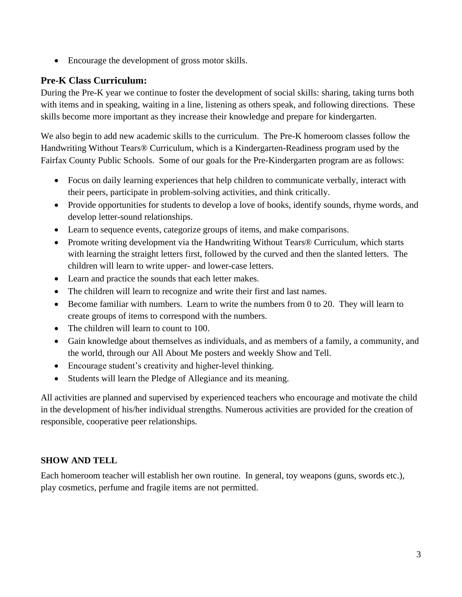• Encourage the development of gross motor skills.

## <span id="page-5-0"></span>**Pre-K Class Curriculum:**

During the Pre-K year we continue to foster the development of social skills: sharing, taking turns both with items and in speaking, waiting in a line, listening as others speak, and following directions. These skills become more important as they increase their knowledge and prepare for kindergarten.

We also begin to add new academic skills to the curriculum. The Pre-K homeroom classes follow the Handwriting Without Tears® Curriculum, which is a Kindergarten-Readiness program used by the Fairfax County Public Schools. Some of our goals for the Pre-Kindergarten program are as follows:

- Focus on daily learning experiences that help children to communicate verbally, interact with their peers, participate in problem-solving activities, and think critically.
- Provide opportunities for students to develop a love of books, identify sounds, rhyme words, and develop letter-sound relationships.
- Learn to sequence events, categorize groups of items, and make comparisons.
- Promote writing development via the Handwriting Without Tears<sup>®</sup> Curriculum, which starts with learning the straight letters first, followed by the curved and then the slanted letters. The children will learn to write upper- and lower-case letters.
- Learn and practice the sounds that each letter makes.
- The children will learn to recognize and write their first and last names.
- Become familiar with numbers. Learn to write the numbers from 0 to 20. They will learn to create groups of items to correspond with the numbers.
- The children will learn to count to 100.
- Gain knowledge about themselves as individuals, and as members of a family, a community, and the world, through our All About Me posters and weekly Show and Tell.
- Encourage student's creativity and higher-level thinking.
- Students will learn the Pledge of Allegiance and its meaning.

All activities are planned and supervised by experienced teachers who encourage and motivate the child in the development of his/her individual strengths. Numerous activities are provided for the creation of responsible, cooperative peer relationships.

## <span id="page-5-1"></span>**SHOW AND TELL**

Each homeroom teacher will establish her own routine. In general, toy weapons (guns, swords etc.), play cosmetics, perfume and fragile items are not permitted.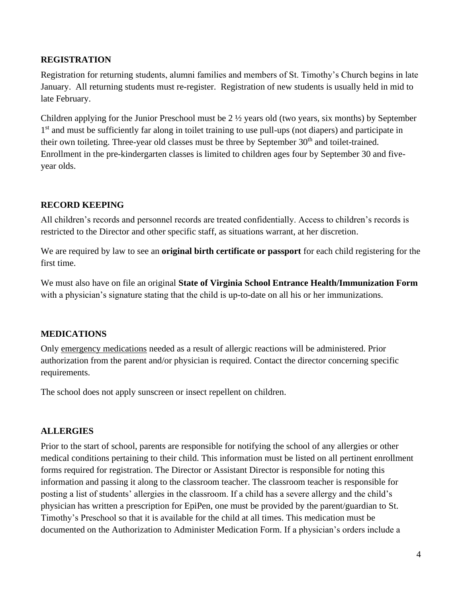#### <span id="page-6-0"></span>**REGISTRATION**

Registration for returning students, alumni families and members of St. Timothy's Church begins in late January. All returning students must re-register. Registration of new students is usually held in mid to late February.

Children applying for the Junior Preschool must be 2 ½ years old (two years, six months) by September 1<sup>st</sup> and must be sufficiently far along in toilet training to use pull-ups (not diapers) and participate in their own toileting. Three-year old classes must be three by September 30<sup>th</sup> and toilet-trained. Enrollment in the pre-kindergarten classes is limited to children ages four by September 30 and fiveyear olds.

## <span id="page-6-1"></span>**RECORD KEEPING**

All children's records and personnel records are treated confidentially. Access to children's records is restricted to the Director and other specific staff, as situations warrant, at her discretion.

We are required by law to see an **original birth certificate or passport** for each child registering for the first time.

We must also have on file an original **State of Virginia School Entrance Health/Immunization Form**  with a physician's signature stating that the child is up-to-date on all his or her immunizations.

## <span id="page-6-2"></span>**MEDICATIONS**

Only emergency medications needed as a result of allergic reactions will be administered. Prior authorization from the parent and/or physician is required. Contact the director concerning specific requirements.

The school does not apply sunscreen or insect repellent on children.

## <span id="page-6-3"></span>**ALLERGIES**

Prior to the start of school, parents are responsible for notifying the school of any allergies or other medical conditions pertaining to their child. This information must be listed on all pertinent enrollment forms required for registration. The Director or Assistant Director is responsible for noting this information and passing it along to the classroom teacher. The classroom teacher is responsible for posting a list of students' allergies in the classroom. If a child has a severe allergy and the child's physician has written a prescription for EpiPen, one must be provided by the parent/guardian to St. Timothy's Preschool so that it is available for the child at all times. This medication must be documented on the Authorization to Administer Medication Form. If a physician's orders include a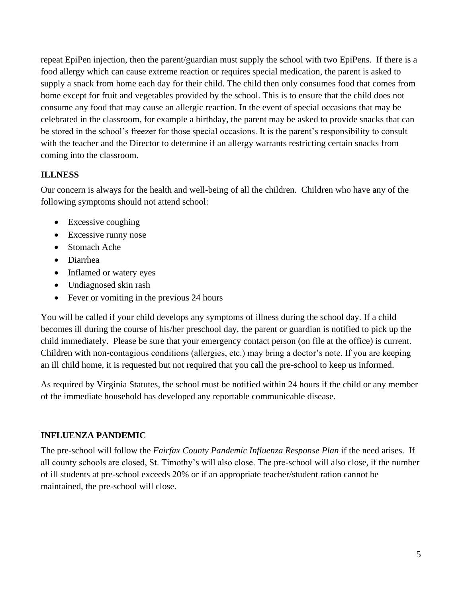repeat EpiPen injection, then the parent/guardian must supply the school with two EpiPens. If there is a food allergy which can cause extreme reaction or requires special medication, the parent is asked to supply a snack from home each day for their child. The child then only consumes food that comes from home except for fruit and vegetables provided by the school. This is to ensure that the child does not consume any food that may cause an allergic reaction. In the event of special occasions that may be celebrated in the classroom, for example a birthday, the parent may be asked to provide snacks that can be stored in the school's freezer for those special occasions. It is the parent's responsibility to consult with the teacher and the Director to determine if an allergy warrants restricting certain snacks from coming into the classroom.

## <span id="page-7-0"></span>**ILLNESS**

Our concern is always for the health and well-being of all the children. Children who have any of the following symptoms should not attend school:

- Excessive coughing
- Excessive runny nose
- Stomach Ache
- Diarrhea
- Inflamed or watery eyes
- Undiagnosed skin rash
- Fever or vomiting in the previous 24 hours

You will be called if your child develops any symptoms of illness during the school day. If a child becomes ill during the course of his/her preschool day, the parent or guardian is notified to pick up the child immediately. Please be sure that your emergency contact person (on file at the office) is current. Children with non-contagious conditions (allergies, etc.) may bring a doctor's note. If you are keeping an ill child home, it is requested but not required that you call the pre-school to keep us informed.

As required by Virginia Statutes, the school must be notified within 24 hours if the child or any member of the immediate household has developed any reportable communicable disease.

## <span id="page-7-1"></span>**INFLUENZA PANDEMIC**

The pre-school will follow the *Fairfax County Pandemic Influenza Response Plan* if the need arises. If all county schools are closed, St. Timothy's will also close. The pre-school will also close, if the number of ill students at pre-school exceeds 20% or if an appropriate teacher/student ration cannot be maintained, the pre-school will close.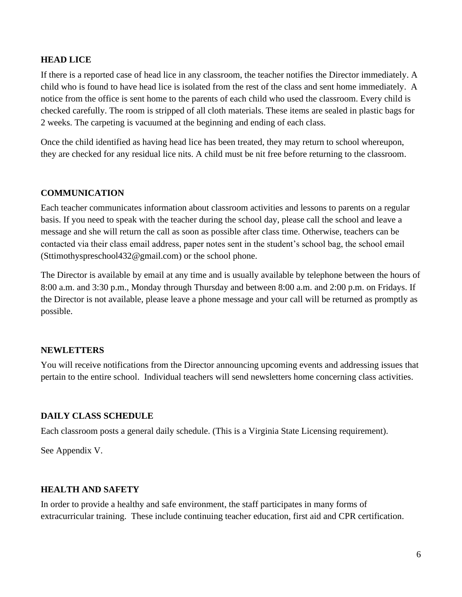#### <span id="page-8-0"></span>**HEAD LICE**

If there is a reported case of head lice in any classroom, the teacher notifies the Director immediately. A child who is found to have head lice is isolated from the rest of the class and sent home immediately. A notice from the office is sent home to the parents of each child who used the classroom. Every child is checked carefully. The room is stripped of all cloth materials. These items are sealed in plastic bags for 2 weeks. The carpeting is vacuumed at the beginning and ending of each class.

Once the child identified as having head lice has been treated, they may return to school whereupon, they are checked for any residual lice nits. A child must be nit free before returning to the classroom.

#### <span id="page-8-1"></span>**COMMUNICATION**

Each teacher communicates information about classroom activities and lessons to parents on a regular basis. If you need to speak with the teacher during the school day, please call the school and leave a message and she will return the call as soon as possible after class time. Otherwise, teachers can be contacted via their class email address, paper notes sent in the student's school bag, the school email (Sttimothyspreschool432@gmail.com) or the school phone.

The Director is available by email at any time and is usually available by telephone between the hours of 8:00 a.m. and 3:30 p.m., Monday through Thursday and between 8:00 a.m. and 2:00 p.m. on Fridays. If the Director is not available, please leave a phone message and your call will be returned as promptly as possible.

#### <span id="page-8-2"></span>**NEWLETTERS**

You will receive notifications from the Director announcing upcoming events and addressing issues that pertain to the entire school. Individual teachers will send newsletters home concerning class activities.

#### <span id="page-8-3"></span>**DAILY CLASS SCHEDULE**

Each classroom posts a general daily schedule. (This is a Virginia State Licensing requirement).

See Appendix V.

#### <span id="page-8-4"></span>**HEALTH AND SAFETY**

In order to provide a healthy and safe environment, the staff participates in many forms of extracurricular training. These include continuing teacher education, first aid and CPR certification.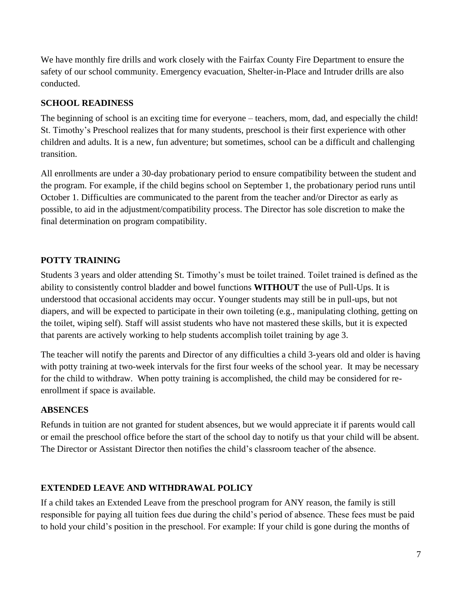We have monthly fire drills and work closely with the Fairfax County Fire Department to ensure the safety of our school community. Emergency evacuation, Shelter-in-Place and Intruder drills are also conducted.

## <span id="page-9-0"></span>**SCHOOL READINESS**

The beginning of school is an exciting time for everyone – teachers, mom, dad, and especially the child! St. Timothy's Preschool realizes that for many students, preschool is their first experience with other children and adults. It is a new, fun adventure; but sometimes, school can be a difficult and challenging transition.

All enrollments are under a 30-day probationary period to ensure compatibility between the student and the program. For example, if the child begins school on September 1, the probationary period runs until October 1. Difficulties are communicated to the parent from the teacher and/or Director as early as possible, to aid in the adjustment/compatibility process. The Director has sole discretion to make the final determination on program compatibility.

## <span id="page-9-1"></span>**POTTY TRAINING**

Students 3 years and older attending St. Timothy's must be toilet trained. Toilet trained is defined as the ability to consistently control bladder and bowel functions **WITHOUT** the use of Pull-Ups. It is understood that occasional accidents may occur. Younger students may still be in pull-ups, but not diapers, and will be expected to participate in their own toileting (e.g., manipulating clothing, getting on the toilet, wiping self). Staff will assist students who have not mastered these skills, but it is expected that parents are actively working to help students accomplish toilet training by age 3.

The teacher will notify the parents and Director of any difficulties a child 3-years old and older is having with potty training at two-week intervals for the first four weeks of the school year. It may be necessary for the child to withdraw. When potty training is accomplished, the child may be considered for reenrollment if space is available.

## <span id="page-9-2"></span>**ABSENCES**

Refunds in tuition are not granted for student absences, but we would appreciate it if parents would call or email the preschool office before the start of the school day to notify us that your child will be absent. The Director or Assistant Director then notifies the child's classroom teacher of the absence.

## <span id="page-9-3"></span>**EXTENDED LEAVE AND WITHDRAWAL POLICY**

If a child takes an Extended Leave from the preschool program for ANY reason, the family is still responsible for paying all tuition fees due during the child's period of absence. These fees must be paid to hold your child's position in the preschool. For example: If your child is gone during the months of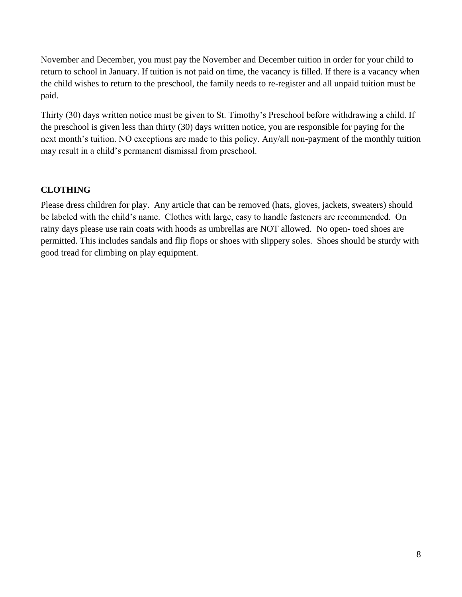November and December, you must pay the November and December tuition in order for your child to return to school in January. If tuition is not paid on time, the vacancy is filled. If there is a vacancy when the child wishes to return to the preschool, the family needs to re-register and all unpaid tuition must be paid.

Thirty (30) days written notice must be given to St. Timothy's Preschool before withdrawing a child. If the preschool is given less than thirty (30) days written notice, you are responsible for paying for the next month's tuition. NO exceptions are made to this policy. Any/all non-payment of the monthly tuition may result in a child's permanent dismissal from preschool.

## <span id="page-10-0"></span>**CLOTHING**

Please dress children for play. Any article that can be removed (hats, gloves, jackets, sweaters) should be labeled with the child's name. Clothes with large, easy to handle fasteners are recommended. On rainy days please use rain coats with hoods as umbrellas are NOT allowed. No open- toed shoes are permitted. This includes sandals and flip flops or shoes with slippery soles. Shoes should be sturdy with good tread for climbing on play equipment.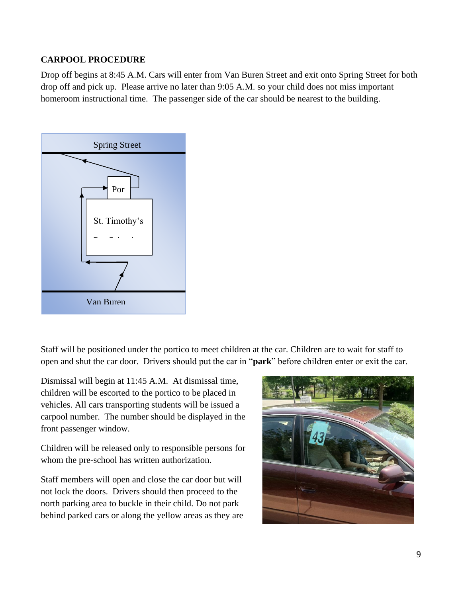## <span id="page-11-0"></span>**CARPOOL PROCEDURE**

Drop off begins at 8:45 A.M. Cars will enter from Van Buren Street and exit onto Spring Street for both drop off and pick up. Please arrive no later than 9:05 A.M. so your child does not miss important homeroom instructional time. The passenger side of the car should be nearest to the building.



Staff will be positioned under the portico to meet children at the car. Children are to wait for staff to open and shut the car door. Drivers should put the car in "**park**" before children enter or exit the car.

Dismissal will begin at 11:45 A.M. At dismissal time, children will be escorted to the portico to be placed in vehicles. All cars transporting students will be issued a carpool number. The number should be displayed in the front passenger window.

Children will be released only to responsible persons for whom the pre-school has written authorization.

Staff members will open and close the car door but will not lock the doors. Drivers should then proceed to the north parking area to buckle in their child. Do not park behind parked cars or along the yellow areas as they are

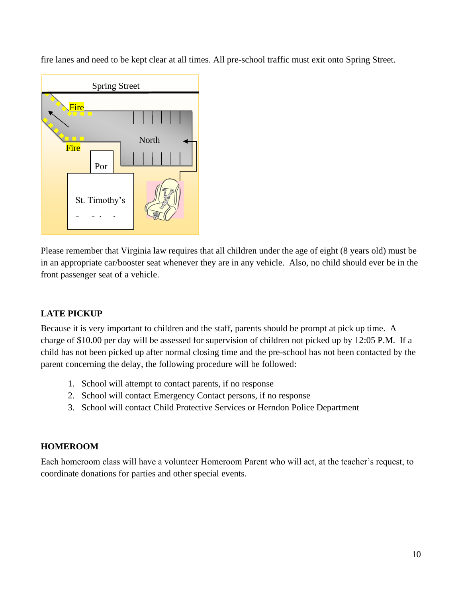fire lanes and need to be kept clear at all times. All pre-school traffic must exit onto Spring Street.



Please remember that Virginia law requires that all children under the age of eight (8 years old) must be in an appropriate car/booster seat whenever they are in any vehicle. Also, no child should ever be in the front passenger seat of a vehicle.

## <span id="page-12-0"></span>**LATE PICKUP**

Because it is very important to children and the staff, parents should be prompt at pick up time. A charge of \$10.00 per day will be assessed for supervision of children not picked up by 12:05 P.M. If a child has not been picked up after normal closing time and the pre-school has not been contacted by the parent concerning the delay, the following procedure will be followed:

- 1. School will attempt to contact parents, if no response
- 2. School will contact Emergency Contact persons, if no response
- 3. School will contact Child Protective Services or Herndon Police Department

## <span id="page-12-1"></span>**HOMEROOM**

Each homeroom class will have a volunteer Homeroom Parent who will act, at the teacher's request, to coordinate donations for parties and other special events.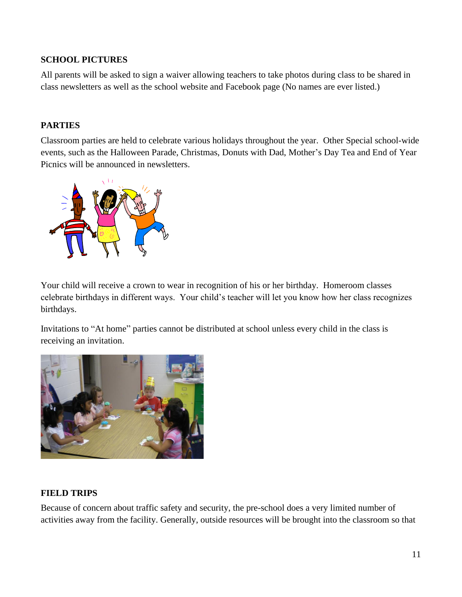#### <span id="page-13-0"></span>**SCHOOL PICTURES**

All parents will be asked to sign a waiver allowing teachers to take photos during class to be shared in class newsletters as well as the school website and Facebook page (No names are ever listed.)

## <span id="page-13-1"></span>**PARTIES**

Classroom parties are held to celebrate various holidays throughout the year. Other Special school-wide events, such as the Halloween Parade, Christmas, Donuts with Dad, Mother's Day Tea and End of Year Picnics will be announced in newsletters.



Your child will receive a crown to wear in recognition of his or her birthday. Homeroom classes celebrate birthdays in different ways. Your child's teacher will let you know how her class recognizes birthdays.

Invitations to "At home" parties cannot be distributed at school unless every child in the class is receiving an invitation.



#### <span id="page-13-2"></span>**FIELD TRIPS**

Because of concern about traffic safety and security, the pre-school does a very limited number of activities away from the facility. Generally, outside resources will be brought into the classroom so that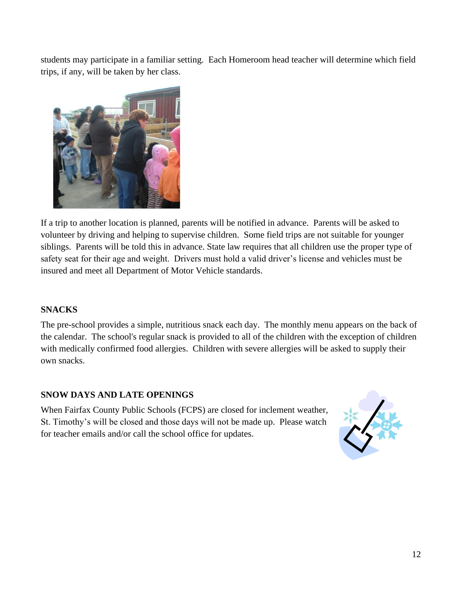students may participate in a familiar setting. Each Homeroom head teacher will determine which field trips, if any, will be taken by her class.



If a trip to another location is planned, parents will be notified in advance. Parents will be asked to volunteer by driving and helping to supervise children. Some field trips are not suitable for younger siblings. Parents will be told this in advance. State law requires that all children use the proper type of safety seat for their age and weight. Drivers must hold a valid driver's license and vehicles must be insured and meet all Department of Motor Vehicle standards.

## <span id="page-14-0"></span>**SNACKS**

The pre-school provides a simple, nutritious snack each day. The monthly menu appears on the back of the calendar. The school's regular snack is provided to all of the children with the exception of children with medically confirmed food allergies. Children with severe allergies will be asked to supply their own snacks.

## <span id="page-14-1"></span>**SNOW DAYS AND LATE OPENINGS**

When Fairfax County Public Schools (FCPS) are closed for inclement weather, St. Timothy's will be closed and those days will not be made up. Please watch for teacher emails and/or call the school office for updates.

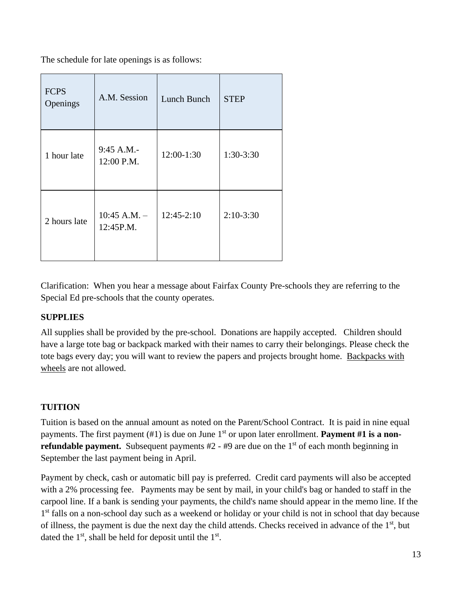The schedule for late openings is as follows:

| <b>FCPS</b><br>Openings | A.M. Session                  | Lunch Bunch  | <b>STEP</b> |
|-------------------------|-------------------------------|--------------|-------------|
| 1 hour late             | 9:45 A.M.-<br>12:00 P.M.      | 12:00-1:30   | 1:30-3:30   |
| 2 hours late            | $10:45$ A.M. $-$<br>12:45P.M. | $12:45-2:10$ | $2:10-3:30$ |

Clarification: When you hear a message about Fairfax County Pre-schools they are referring to the Special Ed pre-schools that the county operates.

#### <span id="page-15-0"></span>**SUPPLIES**

All supplies shall be provided by the pre-school. Donations are happily accepted. Children should have a large tote bag or backpack marked with their names to carry their belongings. Please check the tote bags every day; you will want to review the papers and projects brought home. Backpacks with wheels are not allowed.

## <span id="page-15-1"></span>**TUITION**

Tuition is based on the annual amount as noted on the Parent/School Contract. It is paid in nine equal payments. The first payment (#1) is due on June 1<sup>st</sup> or upon later enrollment. **Payment #1 is a nonrefundable payment.** Subsequent payments #2 - #9 are due on the 1<sup>st</sup> of each month beginning in September the last payment being in April.

Payment by check, cash or automatic bill pay is preferred. Credit card payments will also be accepted with a 2% processing fee. Payments may be sent by mail, in your child's bag or handed to staff in the carpool line. If a bank is sending your payments, the child's name should appear in the memo line. If the 1<sup>st</sup> falls on a non-school day such as a weekend or holiday or your child is not in school that day because of illness, the payment is due the next day the child attends. Checks received in advance of the 1<sup>st</sup>, but dated the  $1<sup>st</sup>$ , shall be held for deposit until the  $1<sup>st</sup>$ .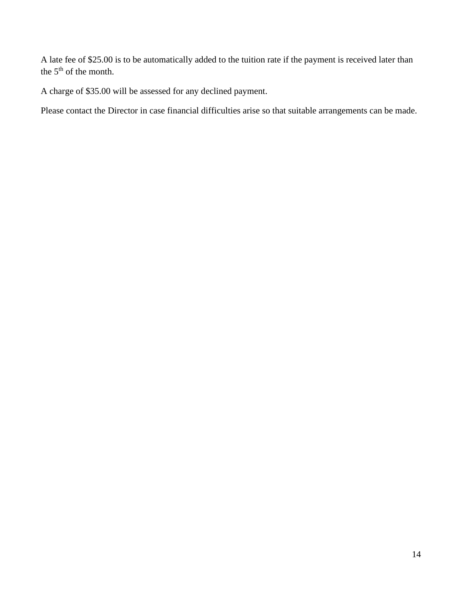A late fee of \$25.00 is to be automatically added to the tuition rate if the payment is received later than the  $5<sup>th</sup>$  of the month.

A charge of \$35.00 will be assessed for any declined payment.

Please contact the Director in case financial difficulties arise so that suitable arrangements can be made.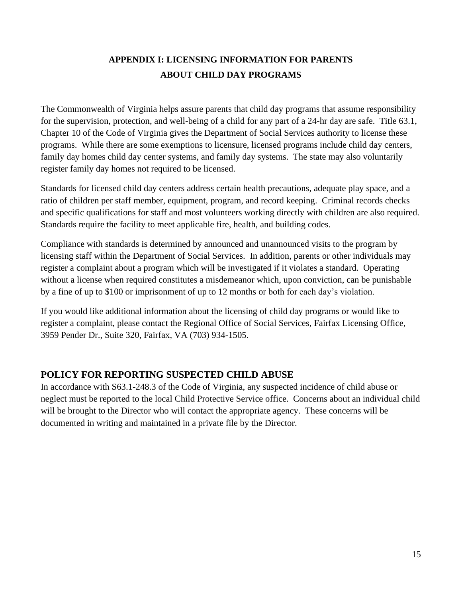## **APPENDIX I: LICENSING INFORMATION FOR PARENTS ABOUT CHILD DAY PROGRAMS**

<span id="page-17-1"></span><span id="page-17-0"></span>The Commonwealth of Virginia helps assure parents that child day programs that assume responsibility for the supervision, protection, and well-being of a child for any part of a 24-hr day are safe. Title 63.1, Chapter 10 of the Code of Virginia gives the Department of Social Services authority to license these programs. While there are some exemptions to licensure, licensed programs include child day centers, family day homes child day center systems, and family day systems. The state may also voluntarily register family day homes not required to be licensed.

Standards for licensed child day centers address certain health precautions, adequate play space, and a ratio of children per staff member, equipment, program, and record keeping. Criminal records checks and specific qualifications for staff and most volunteers working directly with children are also required. Standards require the facility to meet applicable fire, health, and building codes.

Compliance with standards is determined by announced and unannounced visits to the program by licensing staff within the Department of Social Services. In addition, parents or other individuals may register a complaint about a program which will be investigated if it violates a standard. Operating without a license when required constitutes a misdemeanor which, upon conviction, can be punishable by a fine of up to \$100 or imprisonment of up to 12 months or both for each day's violation.

If you would like additional information about the licensing of child day programs or would like to register a complaint, please contact the Regional Office of Social Services, Fairfax Licensing Office, 3959 Pender Dr., Suite 320, Fairfax, VA (703) 934-1505.

## <span id="page-17-2"></span>**POLICY FOR REPORTING SUSPECTED CHILD ABUSE**

In accordance with S63.1-248.3 of the Code of Virginia, any suspected incidence of child abuse or neglect must be reported to the local Child Protective Service office. Concerns about an individual child will be brought to the Director who will contact the appropriate agency. These concerns will be documented in writing and maintained in a private file by the Director.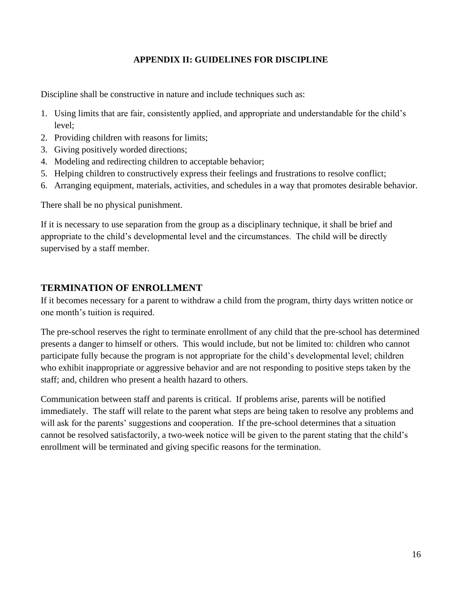#### **APPENDIX II: GUIDELINES FOR DISCIPLINE**

<span id="page-18-0"></span>Discipline shall be constructive in nature and include techniques such as:

- 1. Using limits that are fair, consistently applied, and appropriate and understandable for the child's level;
- 2. Providing children with reasons for limits;
- 3. Giving positively worded directions;
- 4. Modeling and redirecting children to acceptable behavior;
- 5. Helping children to constructively express their feelings and frustrations to resolve conflict;
- 6. Arranging equipment, materials, activities, and schedules in a way that promotes desirable behavior.

There shall be no physical punishment.

If it is necessary to use separation from the group as a disciplinary technique, it shall be brief and appropriate to the child's developmental level and the circumstances. The child will be directly supervised by a staff member.

#### <span id="page-18-1"></span>**TERMINATION OF ENROLLMENT**

If it becomes necessary for a parent to withdraw a child from the program, thirty days written notice or one month's tuition is required.

The pre-school reserves the right to terminate enrollment of any child that the pre-school has determined presents a danger to himself or others. This would include, but not be limited to: children who cannot participate fully because the program is not appropriate for the child's developmental level; children who exhibit inappropriate or aggressive behavior and are not responding to positive steps taken by the staff; and, children who present a health hazard to others.

Communication between staff and parents is critical. If problems arise, parents will be notified immediately. The staff will relate to the parent what steps are being taken to resolve any problems and will ask for the parents' suggestions and cooperation. If the pre-school determines that a situation cannot be resolved satisfactorily, a two-week notice will be given to the parent stating that the child's enrollment will be terminated and giving specific reasons for the termination.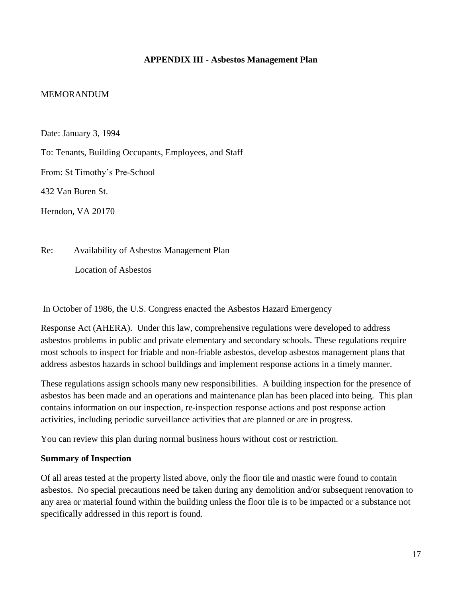#### <span id="page-19-1"></span>**APPENDIX III - Asbestos Management Plan**

#### <span id="page-19-0"></span>MEMORANDUM

Date: January 3, 1994

To: Tenants, Building Occupants, Employees, and Staff

From: St Timothy's Pre-School

432 Van Buren St.

Herndon, VA 20170

Re: Availability of Asbestos Management Plan

Location of Asbestos

In October of 1986, the U.S. Congress enacted the Asbestos Hazard Emergency

Response Act (AHERA). Under this law, comprehensive regulations were developed to address asbestos problems in public and private elementary and secondary schools. These regulations require most schools to inspect for friable and non-friable asbestos, develop asbestos management plans that address asbestos hazards in school buildings and implement response actions in a timely manner.

These regulations assign schools many new responsibilities. A building inspection for the presence of asbestos has been made and an operations and maintenance plan has been placed into being. This plan contains information on our inspection, re-inspection response actions and post response action activities, including periodic surveillance activities that are planned or are in progress.

You can review this plan during normal business hours without cost or restriction.

#### <span id="page-19-2"></span>**Summary of Inspection**

Of all areas tested at the property listed above, only the floor tile and mastic were found to contain asbestos. No special precautions need be taken during any demolition and/or subsequent renovation to any area or material found within the building unless the floor tile is to be impacted or a substance not specifically addressed in this report is found.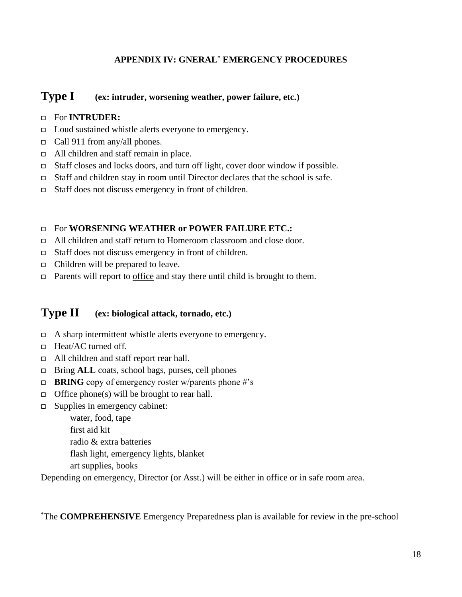#### **APPENDIX IV: GNERAL\* EMERGENCY PROCEDURES**

## <span id="page-20-0"></span>**Type I** (ex: intruder, worsening weather, power failure, etc.)

#### For **INTRUDER:**

- Loud sustained whistle alerts everyone to emergency.
- Call 911 from any/all phones.
- All children and staff remain in place.
- Staff closes and locks doors, and turn off light, cover door window if possible.
- Staff and children stay in room until Director declares that the school is safe.
- $\Box$  Staff does not discuss emergency in front of children.

#### For **WORSENING WEATHER or POWER FAILURE ETC.:**

- All children and staff return to Homeroom classroom and close door.
- □ Staff does not discuss emergency in front of children.
- $\Box$  Children will be prepared to leave.
- Parents will report to <u>office</u> and stay there until child is brought to them.

## <span id="page-20-1"></span>**Type II (ex: biological attack, tornado, etc.)**

- $\Box$  A sharp intermittent whistle alerts everyone to emergency.
- □ Heat/AC turned off.
- □ All children and staff report rear hall.
- □ Bring **ALL** coats, school bags, purses, cell phones
- **BRING** copy of emergency roster w/parents phone  $\#$ 's
- $\Box$  Office phone(s) will be brought to rear hall.
- $\Box$  Supplies in emergency cabinet:

 water, food, tape first aid kit

radio & extra batteries

flash light, emergency lights, blanket

art supplies, books

Depending on emergency, Director (or Asst.) will be either in office or in safe room area.

\*The **COMPREHENSIVE** Emergency Preparedness plan is available for review in the pre-school